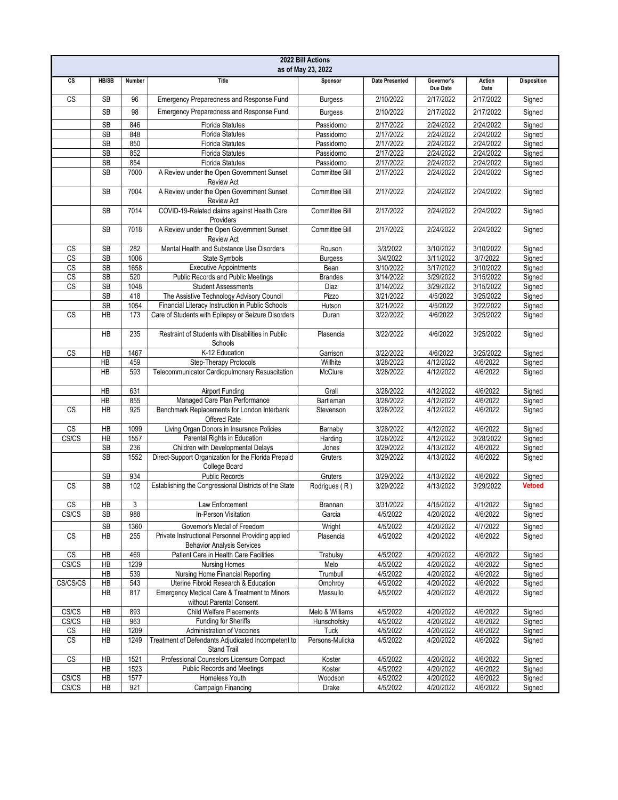| 2022 Bill Actions<br>as of May 23, 2022 |                 |        |                                                                                        |                 |                       |                        |                |                    |
|-----------------------------------------|-----------------|--------|----------------------------------------------------------------------------------------|-----------------|-----------------------|------------------------|----------------|--------------------|
| cs                                      | <b>HB/SB</b>    | Number | <b>Title</b>                                                                           | Sponsor         | <b>Date Presented</b> | Governor's<br>Due Date | Action<br>Date | <b>Disposition</b> |
| <b>CS</b>                               | <b>SB</b>       | 96     | Emergency Preparedness and Response Fund                                               | <b>Burgess</b>  | 2/10/2022             | 2/17/2022              | 2/17/2022      | Signed             |
|                                         | <b>SB</b>       | 98     | Emergency Preparedness and Response Fund                                               | <b>Burgess</b>  | 2/10/2022             | 2/17/2022              | 2/17/2022      | Signed             |
|                                         | SB              | 846    | <b>Florida Statutes</b>                                                                | Passidomo       | 2/17/2022             | 2/24/2022              | 2/24/2022      | Signed             |
|                                         | SB              | 848    | <b>Florida Statutes</b>                                                                | Passidomo       | 2/17/2022             | 2/24/2022              | 2/24/2022      | Signed             |
|                                         | SB              | 850    | <b>Florida Statutes</b>                                                                | Passidomo       | 2/17/2022             | 2/24/2022              | 2/24/2022      | Signed             |
|                                         | SB              | 852    | <b>Florida Statutes</b>                                                                | Passidomo       | 2/17/2022             | 2/24/2022              | 2/24/2022      | Signed             |
|                                         | SB              | 854    | <b>Florida Statutes</b>                                                                | Passidomo       | 2/17/2022             | 2/24/2022              | 2/24/2022      | Signed             |
|                                         | <b>SB</b>       | 7000   | A Review under the Open Government Sunset<br><b>Review Act</b>                         | Committee Bill  | 2/17/2022             | 2/24/2022              | 2/24/2022      | Signed             |
|                                         | <b>SB</b>       | 7004   | A Review under the Open Government Sunset<br><b>Review Act</b>                         | Committee Bill  | 2/17/2022             | 2/24/2022              | 2/24/2022      | Signed             |
|                                         | <b>SB</b>       | 7014   | COVID-19-Related claims against Health Care<br>Providers                               | Committee Bill  | 2/17/2022             | 2/24/2022              | 2/24/2022      | Signed             |
|                                         | <b>SB</b>       | 7018   | A Review under the Open Government Sunset<br><b>Review Act</b>                         | Committee Bill  | 2/17/2022             | 2/24/2022              | 2/24/2022      | Signed             |
| CS                                      | <b>SB</b>       | 282    | Mental Health and Substance Use Disorders                                              | Rouson          | 3/3/2022              | 3/10/2022              | 3/10/2022      | Signed             |
| CS                                      | <b>SB</b>       | 1006   | State Symbols                                                                          | <b>Burgess</b>  | 3/4/2022              | 3/11/2022              | 3/7/2022       | Signed             |
| CS                                      | <b>SB</b>       | 1658   | <b>Executive Appointments</b>                                                          | Bean            | 3/10/2022             | 3/17/2022              | 3/10/2022      | Signed             |
| CS                                      | SB              | 520    | Public Records and Public Meetings                                                     | <b>Brandes</b>  | 3/14/2022             | 3/29/2022              | 3/15/2022      | Signed             |
| CS                                      | <b>SB</b>       | 1048   | <b>Student Assessments</b>                                                             | Diaz            | 3/14/2022             | 3/29/2022              | 3/15/2022      | Signed             |
|                                         | <b>SB</b>       | 418    | The Assistive Technology Advisory Council                                              | Pizzo           | 3/21/2022             | 4/5/2022               | 3/25/2022      | Signed             |
|                                         | <b>SB</b>       | 1054   | Financial Literacy Instruction in Public Schools                                       | Hutson          | 3/21/2022             | 4/5/2022               | 3/22/2022      | Signed             |
| <b>CS</b>                               | HB              | 173    | Care of Students with Epilepsy or Seizure Disorders                                    | Duran           | 3/22/2022             | 4/6/2022               | 3/25/2022      | Signed             |
|                                         | <b>HB</b>       | 235    | Restraint of Students with Disabilities in Public<br>Schools                           | Plasencia       | 3/22/2022             | 4/6/2022               | 3/25/2022      | Signed             |
| CS                                      | HB              | 1467   | K-12 Education                                                                         | Garrison        | 3/22/2022             | 4/6/2022               | 3/25/2022      | Signed             |
|                                         | HB              | 459    | Step-Therapy Protocols                                                                 | Willhite        | 3/28/2022             | 4/12/2022              | 4/6/2022       | Signed             |
|                                         | <b>HB</b>       | 593    | Telecommunicator Cardiopulmonary Resuscitation                                         | McClure         | 3/28/2022             | 4/12/2022              | 4/6/2022       | Signed             |
|                                         | HB              | 631    | Airport Funding                                                                        | Grall           | 3/28/2022             | 4/12/2022              | 4/6/2022       | Signed             |
|                                         | HB              | 855    | Managed Care Plan Performance                                                          | Bartleman       | 3/28/2022             | 4/12/2022              | 4/6/2022       | Signed             |
| <b>CS</b>                               | <b>HB</b>       | 925    | Benchmark Replacements for London Interbank<br>Offered Rate                            | Stevenson       | 3/28/2022             | 4/12/2022              | 4/6/2022       | Signed             |
| <b>CS</b>                               | HB              | 1099   | Living Organ Donors in Insurance Policies                                              | Barnaby         | 3/28/2022             | 4/12/2022              | 4/6/2022       | Signed             |
| CS/CS                                   | <b>HB</b>       | 1557   | Parental Rights in Education                                                           | Harding         | 3/28/2022             | 4/12/2022              | 3/28/2022      | Signed             |
|                                         | SB              | 236    | Children with Developmental Delays                                                     | Jones           | 3/29/2022             | 4/13/2022              | 4/6/2022       | Signed             |
|                                         | <b>SB</b>       | 1552   | Direct-Support Organization for the Florida Prepaid<br>College Board                   | Gruters         | 3/29/2022             | 4/13/2022              | 4/6/2022       | Signed             |
|                                         | <b>SB</b>       | 934    | <b>Public Records</b>                                                                  | Gruters         | 3/29/2022             | 4/13/2022              | 4/6/2022       | Signed             |
| <b>CS</b>                               | <b>SB</b>       | 102    | Establishing the Congressional Districts of the State                                  | Rodrigues (R)   | 3/29/2022             | 4/13/2022              | 3/29/2022      | <b>Vetoed</b>      |
| CS                                      | $\overline{AB}$ | 3      | Law Enforcement                                                                        | Brannan         | 3/31/2022             | 4/15/2022              | 4/1/2022       | Signed             |
| CS/CS                                   | SB              | 988    | In-Person Visitation                                                                   | Garcia          | 4/5/2022              | 4/20/2022              | 4/6/2022       | Signed             |
|                                         | <b>SB</b>       | 1360   | Governor's Medal of Freedom                                                            | Wright          | 4/5/2022              | 4/20/2022              | 4/7/2022       | Signed             |
| $\mathbb{C}\mathbb{S}$                  | HB              | 255    | Private Instructional Personnel Providing applied<br><b>Behavior Analysis Services</b> | Plasencia       | 4/5/2022              | 4/20/2022              | 4/6/2022       | Signed             |
| $\mathbb{C}\mathbb{S}$                  | ΗB              | 469    | Patient Care in Health Care Facilities                                                 | Trabulsy        | 4/5/2022              | 4/20/2022              | 4/6/2022       | Signed             |
| CS/CS                                   | HB              | 1239   | <b>Nursing Homes</b>                                                                   | Melo            | 4/5/2022              | 4/20/2022              | 4/6/2022       | Signed             |
|                                         | HB              | 539    | Nursing Home Financial Reporting                                                       | Trumbull        | 4/5/2022              | 4/20/2022              | 4/6/2022       | Signed             |
| CS/CS/CS                                | HB              | 543    | Uterine Fibroid Research & Education                                                   | Omphroy         | 4/5/2022              | 4/20/2022              | 4/6/2022       | Signed             |
|                                         | HB              | 817    | Emergency Medical Care & Treatment to Minors<br>without Parental Consent               | Massullo        | 4/5/2022              | 4/20/2022              | 4/6/2022       | Signed             |
| CS/CS                                   | HB              | 893    | <b>Child Welfare Placements</b>                                                        | Melo & Williams | 4/5/2022              | 4/20/2022              | 4/6/2022       | Signed             |
| CS/CS                                   | ΗB              | 963    | Funding for Sheriffs                                                                   | Hunschofsky     | 4/5/2022              | 4/20/2022              | 4/6/2022       | Signed             |
| CS                                      | HB              | 1209   | Administration of Vaccines                                                             | Tuck            | 4/5/2022              | 4/20/2022              | 4/6/2022       | Signed             |
| $\mathbb{C}\mathbb{S}$                  | HB              | 1249   | Treatment of Defendants Adjudicated Incompetent to<br>Stand Trail                      | Persons-Mulicka | 4/5/2022              | 4/20/2022              | 4/6/2022       | Signed             |
| CS                                      | HB              | 1521   | Professional Counselors Licensure Compact                                              | Koster          | 4/5/2022              | 4/20/2022              | 4/6/2022       | Signed             |
|                                         | HB              | 1523   | <b>Public Records and Meetings</b>                                                     | Koster          | 4/5/2022              | 4/20/2022              | 4/6/2022       | Signed             |
| CS/CS                                   | HB              | 1577   | Homeless Youth                                                                         | Woodson         | 4/5/2022              | 4/20/2022              | 4/6/2022       | Signed             |
| CS/CS                                   | HB              | 921    | Campaign Financing                                                                     | Drake           | 4/5/2022              | 4/20/2022              | 4/6/2022       | Signed             |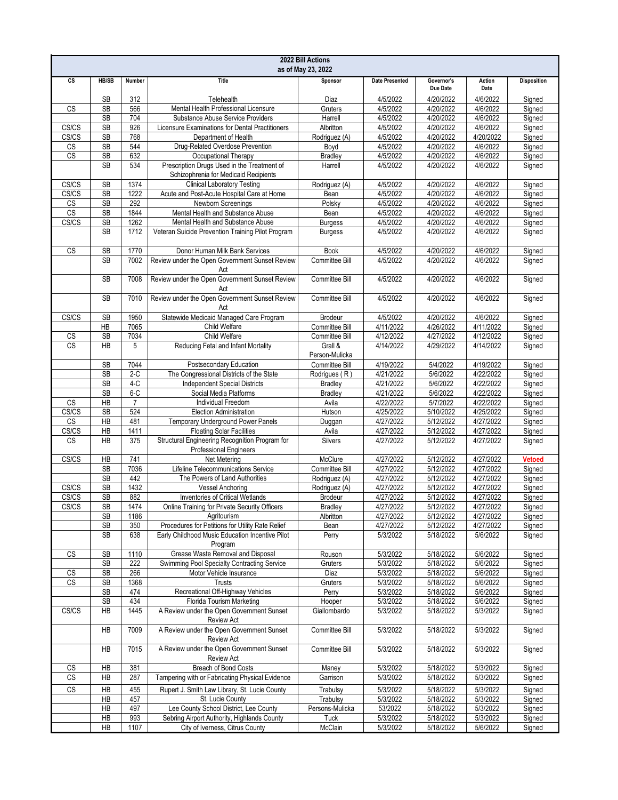| 2022 Bill Actions<br>as of May 23, 2022 |                        |                         |                                                                                      |                                 |                        |                        |                        |                    |
|-----------------------------------------|------------------------|-------------------------|--------------------------------------------------------------------------------------|---------------------------------|------------------------|------------------------|------------------------|--------------------|
| cs                                      | HB/SB                  | Number                  | <b>Title</b>                                                                         | Sponsor                         | <b>Date Presented</b>  | Governor's<br>Due Date | Action<br>Date         | <b>Disposition</b> |
|                                         | <b>SB</b>              | 312                     | Telehealth                                                                           | Diaz                            | 4/5/2022               | 4/20/2022              | 4/6/2022               | Signed             |
| <b>CS</b>                               | SB<br><b>SB</b>        | 566                     | Mental Health Professional Licensure                                                 | Gruters                         | 4/5/2022<br>4/5/2022   | 4/20/2022              | 4/6/2022               | Signed             |
| CS/CS                                   | <b>SB</b>              | 704<br>926              | Substance Abuse Service Providers<br>Licensure Examinations for Dental Practitioners | Harrell<br>Albritton            | 4/5/2022               | 4/20/2022<br>4/20/2022 | 4/6/2022<br>4/6/2022   | Signed<br>Signed   |
| CS/CS                                   | <b>SB</b>              | 768                     | Department of Health                                                                 | Rodriguez (A)                   | 4/5/2022               | 4/20/2022              | 4/20/2022              | Signed             |
| CS                                      | SB                     | 544                     | Drug-Related Overdose Prevention                                                     | Boyd                            | 4/5/2022               | 4/20/2022              | 4/6/2022               | Signed             |
| <b>CS</b>                               | <b>SB</b>              | 632                     | Occupational Therapy                                                                 | <b>Bradley</b>                  | 4/5/2022               | 4/20/2022              | 4/6/2022               | Signed             |
|                                         | <b>SB</b>              | 534                     | Prescription Drugs Used in the Treatment of<br>Schizophrenia for Medicaid Recipients | Harrell                         | 4/5/2022               | 4/20/2022              | 4/6/2022               | Signed             |
| CS/CS                                   | <b>SB</b>              | 1374                    | <b>Clinical Laboratory Testing</b>                                                   | Rodriguez (A)                   | 4/5/2022               | 4/20/2022              | 4/6/2022               | Signed             |
| CS/CS                                   | SB                     | 1222                    | Acute and Post-Acute Hospital Care at Home                                           | Bean                            | 4/5/2022               | 4/20/2022              | 4/6/2022               | Signed             |
| <b>CS</b>                               | <b>SB</b>              | 292                     | Newborn Screenings                                                                   | Polsky                          | 4/5/2022               | 4/20/2022              | 4/6/2022               | Signed             |
| CS<br>CS/CS                             | <b>SB</b><br><b>SB</b> | 1844<br>1262            | Mental Health and Substance Abuse<br>Mental Health and Substance Abuse               | Bean<br><b>Burgess</b>          | 4/5/2022<br>4/5/2022   | 4/20/2022<br>4/20/2022 | 4/6/2022<br>4/6/2022   | Signed<br>Signed   |
|                                         | <b>SB</b>              | 1712                    | Veteran Suicide Prevention Training Pilot Program                                    | <b>Burgess</b>                  | 4/5/2022               | 4/20/2022              | 4/6/2022               | Signed             |
| <b>CS</b>                               | <b>SB</b>              | 1770                    | Donor Human Milk Bank Services                                                       | <b>Book</b>                     | 4/5/2022               | 4/20/2022              | 4/6/2022               | Signed             |
|                                         | <b>SB</b>              | 7002                    | Review under the Open Government Sunset Review<br>Act                                | Committee Bill                  | 4/5/2022               | 4/20/2022              | 4/6/2022               | Signed             |
|                                         | <b>SB</b>              | 7008                    | Review under the Open Government Sunset Review<br>Act                                | Committee Bill                  | 4/5/2022               | 4/20/2022              | 4/6/2022               | Signed             |
|                                         | <b>SB</b>              | 7010                    | Review under the Open Government Sunset Review<br>Act                                | Committee Bill                  | 4/5/2022               | 4/20/2022              | 4/6/2022               | Signed             |
| CS/CS                                   | SB                     | 1950                    | Statewide Medicaid Managed Care Program                                              | <b>Brodeur</b>                  | 4/5/2022               | 4/20/2022              | 4/6/2022               | Signed             |
|                                         | HB                     | 7065                    | Child Welfare                                                                        | Committee Bill                  | 4/11/2022              | 4/26/2022              | 4/11/2022              | Signed             |
| CS                                      | <b>SB</b>              | 7034                    | Child Welfare                                                                        | Committee Bill                  | 4/12/2022              | 4/27/2022              | 4/12/2022              | Signed             |
| $\overline{\text{CS}}$                  | <b>HB</b>              | 5                       | Reducing Fetal and Infant Mortality                                                  | Grall &<br>Person-Mulicka       | 4/14/2022              | 4/29/2022              | 4/14/2022              | Signed             |
|                                         | SB                     | 7044                    | Postsecondary Education                                                              | Committee Bill                  | 4/19/2022              | 5/4/2022               | 4/19/2022              | Signed             |
|                                         | <b>SB</b>              | $2-C$                   | The Congressional Districts of the State                                             | Rodrigues (R)                   | 4/21/2022              | 5/6/2022               | 4/22/2022              | Signed             |
|                                         | <b>SB</b>              | $4-C$                   | <b>Independent Special Districts</b>                                                 | <b>Bradley</b>                  | 4/21/2022              | 5/6/2022               | 4/22/2022              | Signed             |
| <b>CS</b>                               | SB<br>HB               | $6-C$<br>$\overline{7}$ | Social Media Platforms<br>Individual Freedom                                         | <b>Bradley</b><br>Avila         | 4/21/2022<br>4/22/2022 | 5/6/2022<br>5/7/2022   | 4/22/2022<br>4/22/2022 | Signed<br>Signed   |
| CS/CS                                   | <b>SB</b>              | 524                     | Election Administration                                                              | Hutson                          | 4/25/2022              | 5/10/2022              | 4/25/2022              | Signed             |
| <b>CS</b>                               | $\overline{AB}$        | 481                     | Temporary Underground Power Panels                                                   | Duggan                          | 4/27/2022              | 5/12/2022              | 4/27/2022              | Signed             |
| CS/CS                                   | HB                     | 1411                    | <b>Floating Solar Facilities</b>                                                     | Avila                           | 4/27/2022              | 5/12/2022              | 4/27/2022              | Signed             |
| <b>CS</b>                               | <b>HB</b>              | 375                     | Structural Engineering Recognition Program for<br><b>Professional Engineers</b>      | Silvers                         | 4/27/2022              | 5/12/2022              | 4/27/2022              | Signed             |
| CS/CS                                   | HB                     | 741                     | Net Metering                                                                         | McClure                         | 4/27/2022              | 5/12/2022              | 4/27/2022              | <b>Vetoed</b>      |
|                                         | <b>SB</b>              | 7036                    | Lifeline Telecommunications Service                                                  | Committee Bill                  | 4/27/2022              | 5/12/2022              | 4/27/2022              | Signed             |
|                                         | <b>SB</b>              | 442                     | The Powers of Land Authorities                                                       | Rodriguez (A)                   | 4/27/2022              | 5/12/2022              | 4/27/2022              | Signed             |
| CS/CS<br>CS/CS                          | <b>SB</b><br><b>SB</b> | 1432<br>882             | <b>Vessel Anchoring</b><br>Inventories of Critical Wetlands                          | Rodriguez (A)<br><b>Brodeur</b> | 4/27/2022<br>4/27/2022 | 5/12/2022<br>5/12/2022 | 4/27/2022<br>4/27/2022 | Signed<br>Signed   |
| CS/CS                                   | <b>SB</b>              | 1474                    | Online Training for Private Security Officers                                        | <b>Bradley</b>                  | 4/27/2022              | 5/12/2022              | 4/27/2022              | Signed             |
|                                         | SB                     | 1186                    | Agritourism                                                                          | Albritton                       | 4/27/2022              | 5/12/2022              | 4/27/2022              | Signed             |
|                                         | SB                     | 350                     | Procedures for Petitions for Utility Rate Relief                                     | Bean                            | 4/27/2022              | 5/12/2022              | 4/27/2022              | Signed             |
|                                         | SB                     | 638                     | Early Childhood Music Education Incentive Pilot<br>Program                           | Perry                           | 5/3/2022               | 5/18/2022              | 5/6/2022               | Signed             |
| <b>CS</b>                               | SB                     | 1110                    | Grease Waste Removal and Disposal                                                    | Rouson                          | 5/3/2022               | 5/18/2022              | 5/6/2022               | Signed             |
|                                         | SB                     | 222                     | Swimming Pool Specialty Contracting Service                                          | Gruters                         | 5/3/2022               | 5/18/2022              | 5/6/2022               | Signed             |
| CS                                      | <b>SB</b>              | 266                     | Motor Vehicle Insurance                                                              | Diaz                            | 5/3/2022               | 5/18/2022              | 5/6/2022               | Signed             |
| CS                                      | SB<br><b>SB</b>        | 1368                    | Trusts<br>Recreational Off-Highway Vehicles                                          | Gruters                         | 5/3/2022               | 5/18/2022              | 5/6/2022               | Signed             |
|                                         | SB                     | 474<br>434              | Florida Tourism Marketing                                                            | Perry<br>Hooper                 | 5/3/2022<br>5/3/2022   | 5/18/2022<br>5/18/2022 | 5/6/2022<br>5/6/2022   | Signed<br>Signed   |
| CS/CS                                   | HB                     | 1445                    | A Review under the Open Government Sunset<br><b>Review Act</b>                       | Giallombardo                    | 5/3/2022               | 5/18/2022              | 5/3/2022               | Signed             |
|                                         | HB                     | 7009                    | A Review under the Open Government Sunset<br><b>Review Act</b>                       | Committee Bill                  | 5/3/2022               | 5/18/2022              | 5/3/2022               | Signed             |
|                                         | HB                     | 7015                    | A Review under the Open Government Sunset<br>Review Act                              | Committee Bill                  | 5/3/2022               | 5/18/2022              | 5/3/2022               | Signed             |
| CS                                      | HB                     | 381                     | Breach of Bond Costs                                                                 | Maney                           | 5/3/2022               | 5/18/2022              | 5/3/2022               | Signed             |
| $\mathbb{C}\mathbb{S}$                  | HB                     | 287                     | Tampering with or Fabricating Physical Evidence                                      | Garrison                        | 5/3/2022               | 5/18/2022              | 5/3/2022               | Signed             |
| CS                                      | HB                     | 455                     | Rupert J. Smith Law Library, St. Lucie County                                        | Trabulsy                        | 5/3/2022               | 5/18/2022              | 5/3/2022               | Signed             |
|                                         | HB                     | 457                     | St. Lucie County                                                                     | Trabulsy                        | 5/3/2022               | 5/18/2022              | 5/3/2022               | Signed             |
|                                         | HB                     | 497                     | Lee County School District, Lee County                                               | Persons-Mulicka                 | 53/2022                | 5/18/2022              | 5/3/2022               | Signed             |
|                                         | HB                     | 993                     | Sebring Airport Authority, Highlands County                                          | Tuck                            | 5/3/2022               | 5/18/2022              | 5/3/2022               | Signed             |
|                                         | HB                     | 1107                    | City of Iverness, Citrus County                                                      | McClain                         | 5/3/2022               | 5/18/2022              | 5/6/2022               | Signed             |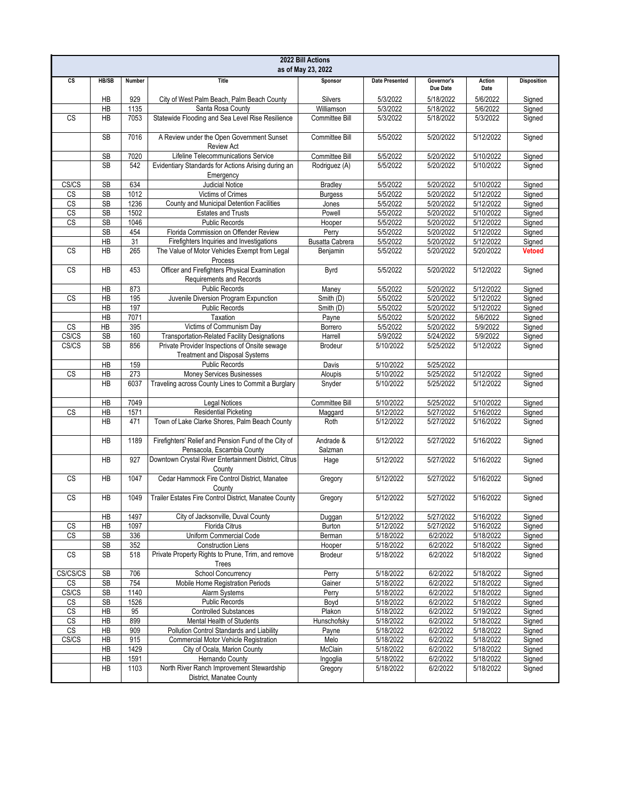| 2022 Bill Actions<br>as of May 23, 2022 |                      |        |                                                                                        |                        |                       |                        |                |                    |
|-----------------------------------------|----------------------|--------|----------------------------------------------------------------------------------------|------------------------|-----------------------|------------------------|----------------|--------------------|
| cs                                      | <b>HB/SB</b>         | Number | <b>Title</b>                                                                           | Sponsor                | <b>Date Presented</b> | Governor's<br>Due Date | Action<br>Date | <b>Disposition</b> |
|                                         | HB                   | 929    | City of West Palm Beach, Palm Beach County                                             | Silvers                | 5/3/2022              | 5/18/2022              | 5/6/2022       | Signed             |
|                                         | HB                   | 1135   | Santa Rosa County                                                                      | Williamson             | 5/3/2022              | 5/18/2022              | 5/6/2022       | Signed             |
| <b>CS</b>                               | <b>HB</b>            | 7053   | Statewide Flooding and Sea Level Rise Resilience                                       | Committee Bill         | 5/3/2022              | 5/18/2022              | 5/3/2022       | Signed             |
|                                         | <b>SB</b>            | 7016   | A Review under the Open Government Sunset<br>Review Act                                | Committee Bill         | 5/5/2022              | 5/20/2022              | 5/12/2022      | Signed             |
|                                         | SB                   | 7020   | Lifeline Telecommunications Service                                                    | Committee Bill         | 5/5/2022              | 5/20/2022              | 5/10/2022      | Signed             |
|                                         | <b>SB</b>            | 542    | Evidentiary Standards for Actions Arising during an<br>Emergency                       | Rodriguez (A)          | 5/5/2022              | 5/20/2022              | 5/10/2022      | Signed             |
| CS/CS                                   | <b>SB</b>            | 634    | <b>Judicial Notice</b>                                                                 | Bradley                | 5/5/2022              | 5/20/2022              | 5/10/2022      | Signed             |
| CS                                      | SB                   | 1012   | Victims of Crimes                                                                      | <b>Burgess</b>         | 5/5/2022              | 5/20/2022              | 5/12/2022      | Signed             |
| $\overline{\text{CS}}$                  | <b>SB</b>            | 1236   | County and Municipal Detention Facilities                                              | Jones                  | 5/5/2022              | 5/20/2022              | 5/12/2022      | Signed             |
| $\overline{\text{CS}}$                  | <b>SB</b>            | 1502   | <b>Estates and Trusts</b>                                                              | Powell                 | 5/5/2022              | 5/20/2022              | 5/10/2022      | Signed             |
| $\overline{\text{CS}}$                  | SB                   | 1046   | <b>Public Records</b>                                                                  | Hooper                 | 5/5/2022              | 5/20/2022              | 5/12/2022      | Signed             |
|                                         | <b>SB</b>            | 454    | Florida Commission on Offender Review                                                  | Perry                  | 5/5/2022              | 5/20/2022              | 5/12/2022      | Signed             |
|                                         | HB                   | 31     | Firefighters Inquiries and Investigations                                              | <b>Busatta Cabrera</b> | 5/5/2022              | 5/20/2022              | 5/12/2022      | Signed             |
| <b>CS</b>                               | <b>HB</b>            | 265    | The Value of Motor Vehicles Exempt from Legal<br>Process                               | Benjamin               | 5/5/2022              | 5/20/2022              | 5/20/2022      | <b>Vetoed</b>      |
| <b>CS</b>                               | <b>HB</b>            | 453    | Officer and Firefighters Physical Examination<br>Requirements and Records              | Byrd                   | 5/5/2022              | 5/20/2022              | 5/12/2022      | Signed             |
|                                         | HB                   | 873    | <b>Public Records</b>                                                                  | Maney                  | 5/5/2022              | 5/20/2022              | 5/12/2022      | Signed             |
| CS                                      | HB                   | 195    | Juvenile Diversion Program Expunction                                                  | Smith (D)              | 5/5/2022              | 5/20/2022              | 5/12/2022      | Signed             |
|                                         | HB                   | 197    | <b>Public Records</b>                                                                  | Smith (D)              | 5/5/2022              | 5/20/2022              | 5/12/2022      | Signed             |
|                                         | HB                   | 7071   | <b>Taxation</b>                                                                        | Payne                  | 5/5/2022              | 5/20/2022              | 5/6/2022       | Signed             |
| CS                                      | $\overline{AB}$      | 395    | Victims of Communism Day                                                               | Borrero                | 5/5/2022              | 5/20/2022              | 5/9/2022       | Signed             |
| CS/CS                                   | <b>SB</b>            | 160    | <b>Transportation-Related Facility Designations</b>                                    | Harrell                | 5/9/2022              | 5/24/2022              | 5/9/2022       | Signed             |
| CS/CS                                   | <b>SB</b>            | 856    | Private Provider Inspections of Onsite sewage<br><b>Treatment and Disposal Systems</b> | <b>Brodeur</b>         | 5/10/2022             | 5/25/2022              | 5/12/2022      | Signed             |
|                                         | HB                   | 159    | <b>Public Records</b>                                                                  | Davis                  | 5/10/2022             | 5/25/2022              |                |                    |
| <b>CS</b>                               | HB                   | 273    | Money Services Businesses                                                              | Aloupis                | 5/10/2022             | 5/25/2022              | 5/12/2022      | Signed             |
|                                         | <b>HB</b>            | 6037   | Traveling across County Lines to Commit a Burglary                                     | Snyder                 | 5/10/2022             | 5/25/2022              | 5/12/2022      | Signed             |
|                                         | HB                   | 7049   | <b>Legal Notices</b>                                                                   | Committee Bill         | 5/10/2022             | 5/25/2022              | 5/10/2022      | Signed             |
| CS                                      | HB                   | 1571   | <b>Residential Picketing</b>                                                           | Maggard                | 5/12/2022             | 5/27/2022              | 5/16/2022      | Signed             |
|                                         | <b>HB</b>            | 471    | Town of Lake Clarke Shores, Palm Beach County                                          | Roth                   | 5/12/2022             | 5/27/2022              | 5/16/2022      | Signed             |
|                                         | <b>HB</b>            | 1189   | Firefighters' Relief and Pension Fund of the City of<br>Pensacola, Escambia County     | Andrade &<br>Salzman   | 5/12/2022             | 5/27/2022              | 5/16/2022      | Signed             |
|                                         | HB                   | 927    | Downtown Crystal River Entertainment District, Citrus<br>County                        | Hage                   | 5/12/2022             | 5/27/2022              | 5/16/2022      | Signed             |
| CS                                      | <b>HB</b>            | 1047   | Cedar Hammock Fire Control District. Manatee<br>County                                 | Gregory                | 5/12/2022             | 5/27/2022              | 5/16/2022      | Signed             |
| $\mathbb{C}\mathbb{S}$                  | HB                   | 1049   | Trailer Estates Fire Control District, Manatee County                                  | Gregory                | 5/12/2022             | 5/27/2022              | 5/16/2022      | Signed             |
|                                         | HB                   | 1497   | City of Jacksonville, Duval County                                                     | Duggan                 | 5/12/2022             | 5/27/2022              | 5/16/2022      | Signed             |
| $\mathsf{CS}\,$                         | HB                   | 1097   | Florida Citrus                                                                         | Burton                 | 5/12/2022             | 5/27/2022              | 5/16/2022      | Signed             |
| <b>CS</b>                               | SB                   | 336    | Uniform Commercial Code                                                                | Berman                 | 5/18/2022             | 6/2/2022               | 5/18/2022      | Signed             |
|                                         | SB                   | 352    | <b>Construction Liens</b>                                                              | Hooper                 | 5/18/2022             | 6/2/2022               | 5/18/2022      | Signed             |
| $\overline{\text{CS}}$                  | SB                   | 518    | Private Property Rights to Prune, Trim, and remove<br>Trees                            | <b>Brodeur</b>         | 5/18/2022             | 6/2/2022               | 5/18/2022      | Signed             |
| CS/CS/CS                                | SB                   | 706    | <b>School Concurrency</b>                                                              | Perry                  | 5/18/2022             | 6/2/2022               | 5/18/2022      | Signed             |
| <b>CS</b>                               | <b>SB</b>            | 754    | Mobile Home Registration Periods                                                       | Gainer                 | 5/18/2022             | 6/2/2022               | 5/18/2022      | Signed             |
| CS/CS                                   | SB                   | 1140   | Alarm Systems                                                                          | Perry                  | 5/18/2022             | 6/2/2022               | 5/18/2022      | Signed             |
| CS                                      | $\mathsf{SB}\xspace$ | 1526   | <b>Public Records</b>                                                                  | Boyd                   | 5/18/2022             | 6/2/2022               | 5/18/2022      | Signed             |
| $\mathsf{CS}$                           | HB                   | 95     | <b>Controlled Substances</b>                                                           | Plakon                 | 5/18/2022             | 6/2/2022               | 5/19/2022      | Signed             |
| $\overline{\text{CS}}$                  | HB                   | 899    | Mental Health of Students                                                              | Hunschofsky            | 5/18/2022             | 6/2/2022               | 5/18/2022      | Signed             |
| CS                                      | HB                   | 909    | Pollution Control Standards and Liability                                              | Payne                  | 5/18/2022             | 6/2/2022               | 5/18/2022      | Signed             |
| CS/CS                                   | HB                   | 915    | Commercial Motor Vehicle Registration                                                  | Melo                   | 5/18/2022             | 6/2/2022               | 5/18/2022      | Signed             |
|                                         | HB                   | 1429   | City of Ocala, Marion County                                                           | McClain                | 5/18/2022             | 6/2/2022               | 5/18/2022      | Signed             |
|                                         | HB                   | 1591   | Hernando County                                                                        | Ingoglia               | 5/18/2022             | 6/2/2022               | 5/18/2022      | Signed             |
|                                         | HB                   | 1103   | North River Ranch Improvement Stewardship<br>District, Manatee County                  | Gregory                | 5/18/2022             | 6/2/2022               | 5/18/2022      | Signed             |